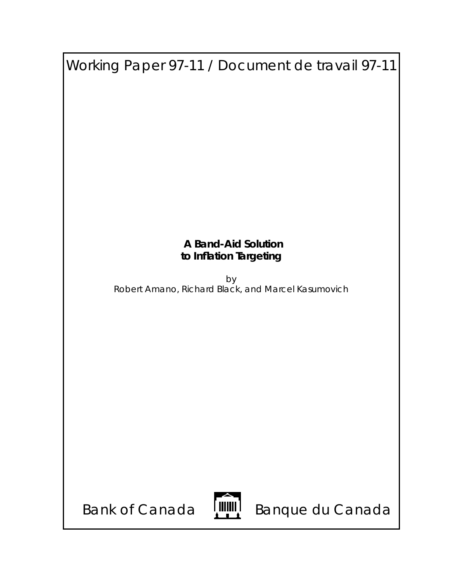| Working Paper 97-11 / Document de travail 97-11    |  |  |  |  |
|----------------------------------------------------|--|--|--|--|
|                                                    |  |  |  |  |
|                                                    |  |  |  |  |
|                                                    |  |  |  |  |
|                                                    |  |  |  |  |
|                                                    |  |  |  |  |
|                                                    |  |  |  |  |
|                                                    |  |  |  |  |
|                                                    |  |  |  |  |
| <b>A Band-Aid Solution</b>                         |  |  |  |  |
| to Inflation Targeting                             |  |  |  |  |
| by                                                 |  |  |  |  |
| Robert Amano, Richard Black, and Marcel Kasumovich |  |  |  |  |
|                                                    |  |  |  |  |
|                                                    |  |  |  |  |
|                                                    |  |  |  |  |
|                                                    |  |  |  |  |
|                                                    |  |  |  |  |
|                                                    |  |  |  |  |
|                                                    |  |  |  |  |
|                                                    |  |  |  |  |
|                                                    |  |  |  |  |
|                                                    |  |  |  |  |
|                                                    |  |  |  |  |
| Banque du Canada<br><b>Bank of Canada</b>          |  |  |  |  |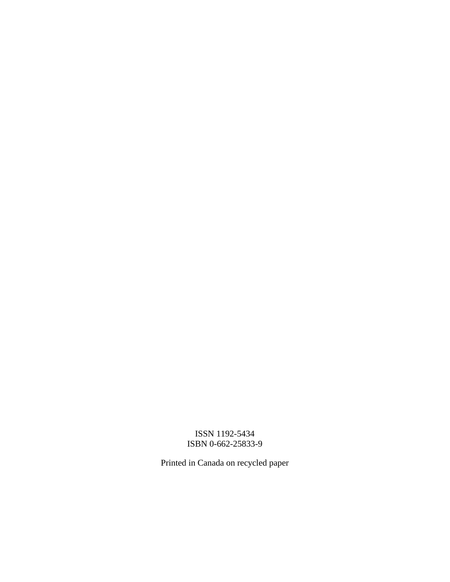## ISSN 1192-5434 ISBN 0-662-25833-9

Printed in Canada on recycled paper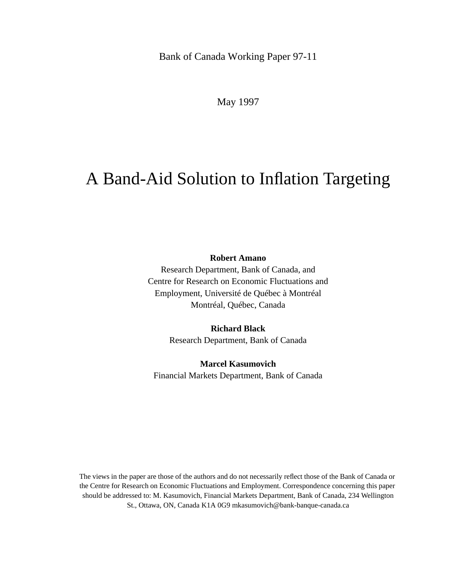Bank of Canada Working Paper 97-11

May 1997

# A Band-Aid Solution to Inflation Targeting

**Robert Amano**

Research Department, Bank of Canada, and Centre for Research on Economic Fluctuations and Employment, Université de Québec à Montréal Montréal, Québec, Canada

> **Richard Black** Research Department, Bank of Canada

## **Marcel Kasumovich**

Financial Markets Department, Bank of Canada

The views in the paper are those of the authors and do not necessarily reflect those of the Bank of Canada or the Centre for Research on Economic Fluctuations and Employment. Correspondence concerning this paper should be addressed to: M. Kasumovich, Financial Markets Department, Bank of Canada, 234 Wellington St., Ottawa, ON, Canada K1A 0G9 mkasumovich@bank-banque-canada.ca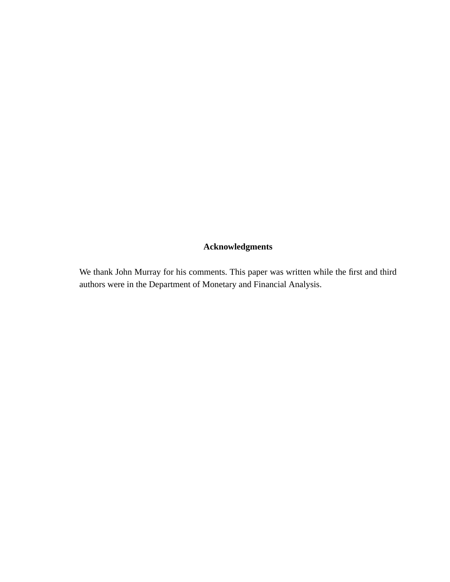## **Acknowledgments**

We thank John Murray for his comments. This paper was written while the first and third authors were in the Department of Monetary and Financial Analysis.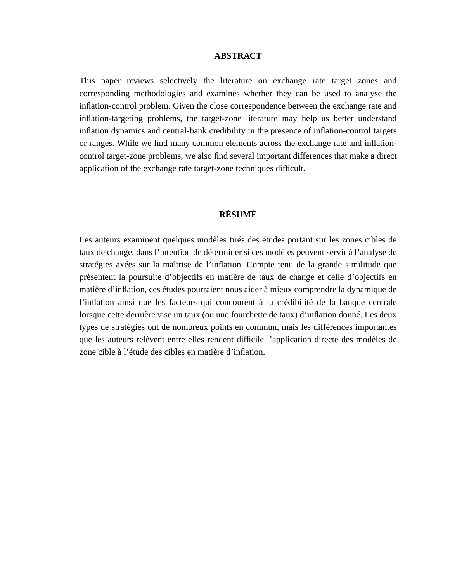#### **ABSTRACT**

This paper reviews selectively the literature on exchange rate target zones and corresponding methodologies and examines whether they can be used to analyse the inflation-control problem. Given the close correspondence between the exchange rate and inflation-targeting problems, the target-zone literature may help us better understand inflation dynamics and central-bank credibility in the presence of inflation-control targets or ranges. While we find many common elements across the exchange rate and inflationcontrol target-zone problems, we also find several important differences that make a direct application of the exchange rate target-zone techniques difficult.

### **RÉSUMÉ**

Les auteurs examinent quelques modèles tirés des études portant sur les zones cibles de taux de change, dans l'intention de déterminer si ces modèles peuvent servir à l'analyse de stratégies axées sur la maîtrise de l'inflation. Compte tenu de la grande similitude que présentent la poursuite d'objectifs en matière de taux de change et celle d'objectifs en matière d'inflation, ces études pourraient nous aider à mieux comprendre la dynamique de l'inflation ainsi que les facteurs qui concourent à la crédibilité de la banque centrale lorsque cette dernière vise un taux (ou une fourchette de taux) d'inflation donné. Les deux types de stratégies ont de nombreux points en commun, mais les différences importantes que les auteurs relèvent entre elles rendent difficile l'application directe des modèles de zone cible à l'étude des cibles en matière d'inflation.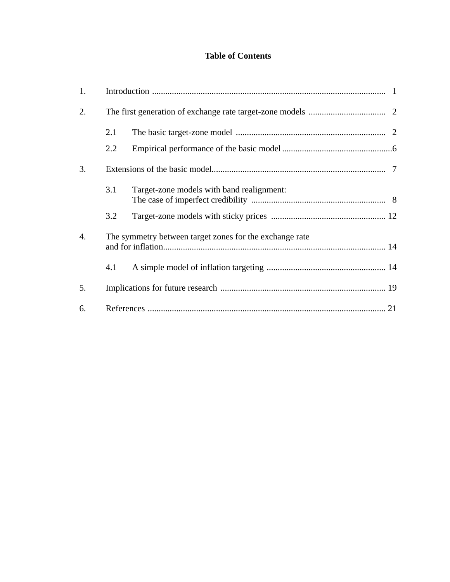## **Table of Contents**

| 1.               |     |                                                         |  |
|------------------|-----|---------------------------------------------------------|--|
| 2.               |     |                                                         |  |
|                  | 2.1 |                                                         |  |
|                  | 2.2 |                                                         |  |
| 3.               |     |                                                         |  |
|                  | 3.1 | Target-zone models with band realignment:               |  |
|                  | 3.2 |                                                         |  |
| $\overline{4}$ . |     | The symmetry between target zones for the exchange rate |  |
|                  | 4.1 |                                                         |  |
| 5.               |     |                                                         |  |
| 6.               |     |                                                         |  |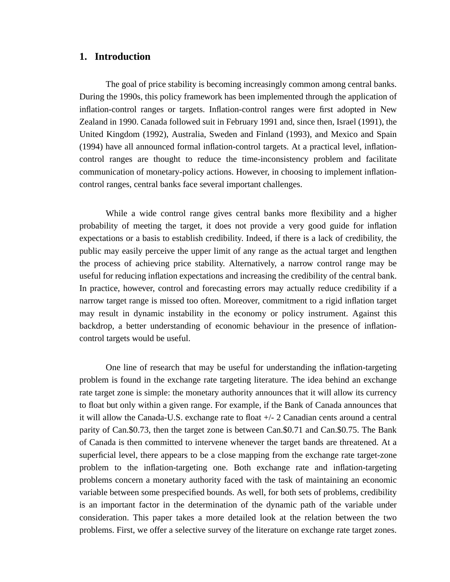#### **1. Introduction**

The goal of price stability is becoming increasingly common among central banks. During the 1990s, this policy framework has been implemented through the application of inflation-control ranges or targets. Inflation-control ranges were first adopted in New Zealand in 1990. Canada followed suit in February 1991 and, since then, Israel (1991), the United Kingdom (1992), Australia, Sweden and Finland (1993), and Mexico and Spain (1994) have all announced formal inflation-control targets. At a practical level, inflationcontrol ranges are thought to reduce the time-inconsistency problem and facilitate communication of monetary-policy actions. However, in choosing to implement inflationcontrol ranges, central banks face several important challenges.

While a wide control range gives central banks more flexibility and a higher probability of meeting the target, it does not provide a very good guide for inflation expectations or a basis to establish credibility. Indeed, if there is a lack of credibility, the public may easily perceive the upper limit of any range as the actual target and lengthen the process of achieving price stability. Alternatively, a narrow control range may be useful for reducing inflation expectations and increasing the credibility of the central bank. In practice, however, control and forecasting errors may actually reduce credibility if a narrow target range is missed too often. Moreover, commitment to a rigid inflation target may result in dynamic instability in the economy or policy instrument. Against this backdrop, a better understanding of economic behaviour in the presence of inflationcontrol targets would be useful.

One line of research that may be useful for understanding the inflation-targeting problem is found in the exchange rate targeting literature. The idea behind an exchange rate target zone is simple: the monetary authority announces that it will allow its currency to float but only within a given range. For example, if the Bank of Canada announces that it will allow the Canada-U.S. exchange rate to float +/- 2 Canadian cents around a central parity of Can.\$0.73, then the target zone is between Can.\$0.71 and Can.\$0.75. The Bank of Canada is then committed to intervene whenever the target bands are threatened. At a superficial level, there appears to be a close mapping from the exchange rate target-zone problem to the inflation-targeting one. Both exchange rate and inflation-targeting problems concern a monetary authority faced with the task of maintaining an economic variable between some prespecified bounds. As well, for both sets of problems, credibility is an important factor in the determination of the dynamic path of the variable under consideration. This paper takes a more detailed look at the relation between the two problems. First, we offer a selective survey of the literature on exchange rate target zones.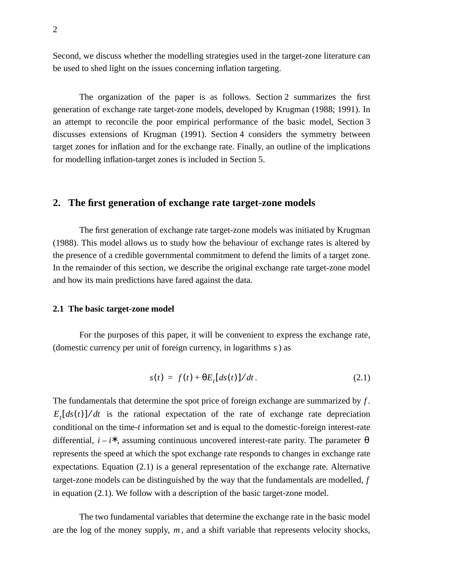Second, we discuss whether the modelling strategies used in the target-zone literature can be used to shed light on the issues concerning inflation targeting.

The organization of the paper is as follows. Section 2 summarizes the first generation of exchange rate target-zone models, developed by Krugman (1988; 1991). In an attempt to reconcile the poor empirical performance of the basic model, Section 3 discusses extensions of Krugman (1991). Section 4 considers the symmetry between target zones for inflation and for the exchange rate. Finally, an outline of the implications for modelling inflation-target zones is included in Section 5.

#### **2. The first generation of exchange rate target-zone models**

The first generation of exchange rate target-zone models was initiated by Krugman (1988). This model allows us to study how the behaviour of exchange rates is altered by the presence of a credible governmental commitment to defend the limits of a target zone. In the remainder of this section, we describe the original exchange rate target-zone model and how its main predictions have fared against the data.

#### **2.1 The basic target-zone model**

For the purposes of this paper, it will be convenient to express the exchange rate, (domestic currency per unit of foreign currency, in logarithms s) as

$$
s(t) = f(t) + \Theta E_t [ds(t)]/dt. \qquad (2.1)
$$

The fundamentals that determine the spot price of foreign exchange are summarized by  $f$ .  $E_t[ds(t)]/dt$  is the rational expectation of the rate of exchange rate depreciation conditional on the time-*t* information set and is equal to the domestic-foreign interest-rate differential,  $i - i^*$ , assuming continuous uncovered interest-rate parity. The parameter  $\theta$ represents the speed at which the spot exchange rate responds to changes in exchange rate expectations. Equation (2.1) is a general representation of the exchange rate. Alternative target-zone models can be distinguished by the way that the fundamentals are modelled, *f* in equation (2.1). We follow with a description of the basic target-zone model.

The two fundamental variables that determine the exchange rate in the basic model are the log of the money supply,  $m$ , and a shift variable that represents velocity shocks,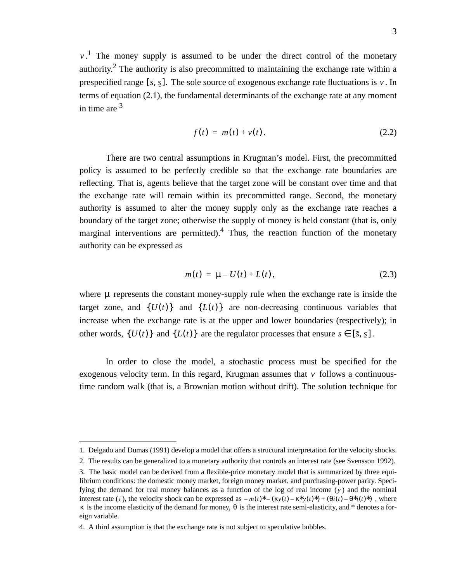$v<sup>1</sup>$ . The money supply is assumed to be under the direct control of the monetary authority.<sup>2</sup> The authority is also precommitted to maintaining the exchange rate within a prespecified range  $[\bar{s}, \bar{s}]$ . The sole source of exogenous exchange rate fluctuations is  $v$ . In terms of equation (2.1), the fundamental determinants of the exchange rate at any moment in time are  $3<sup>3</sup>$ 

$$
f(t) = m(t) + v(t).
$$
 (2.2)

There are two central assumptions in Krugman's model. First, the precommitted policy is assumed to be perfectly credible so that the exchange rate boundaries are reflecting. That is, agents believe that the target zone will be constant over time and that the exchange rate will remain within its precommitted range. Second, the monetary authority is assumed to alter the money supply only as the exchange rate reaches a boundary of the target zone; otherwise the supply of money is held constant (that is, only marginal interventions are permitted).<sup>4</sup> Thus, the reaction function of the monetary authority can be expressed as

$$
m(t) = \mu - U(t) + L(t),
$$
\n(2.3)

where  $\mu$  represents the constant money-supply rule when the exchange rate is inside the target zone, and  $\{U(t)\}\$  and  $\{L(t)\}\$  are non-decreasing continuous variables that increase when the exchange rate is at the upper and lower boundaries (respectively); in other words,  $\{U(t)\}\$  and  $\{L(t)\}\$  are the regulator processes that ensure  $s \in [\bar{s}, \bar{s}]$ .

In order to close the model, a stochastic process must be specified for the exogenous velocity term. In this regard, Krugman assumes that  $\nu$  follows a continuoustime random walk (that is, a Brownian motion without drift). The solution technique for

<sup>1.</sup> Delgado and Dumas (1991) develop a model that offers a structural interpretation for the velocity shocks.

<sup>2.</sup> The results can be generalized to a monetary authority that controls an interest rate (see Svensson 1992).

<sup>3.</sup> The basic model can be derived from a flexible-price monetary model that is summarized by three equilibrium conditions: the domestic money market, foreign money market, and purchasing-power parity. Specifying the demand for real money balances as a function of the log of real income  $(y)$  and the nominal interest rate (*i*), the velocity shock can be expressed as  $-m(t)^* - (\kappa y(t) - \kappa^* y(t))^* + (\theta i(t) - \theta^* i(t))^*$ , where  $κ$  is the income elasticity of the demand for money,  $θ$  is the interest rate semi-elasticity, and \* denotes a foreign variable.

<sup>4.</sup> A third assumption is that the exchange rate is not subject to speculative bubbles.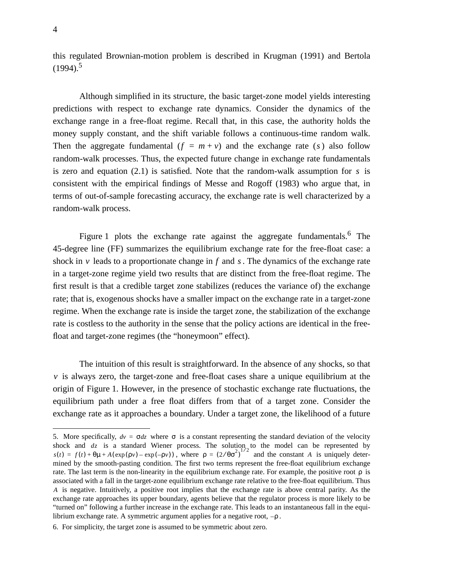this regulated Brownian-motion problem is described in Krugman (1991) and Bertola  $(1994)^5$ 

Although simplified in its structure, the basic target-zone model yields interesting predictions with respect to exchange rate dynamics. Consider the dynamics of the exchange range in a free-float regime. Recall that, in this case, the authority holds the money supply constant, and the shift variable follows a continuous-time random walk. Then the aggregate fundamental  $(f = m + v)$  and the exchange rate  $(s)$  also follow random-walk processes. Thus, the expected future change in exchange rate fundamentals is zero and equation  $(2.1)$  is satisfied. Note that the random-walk assumption for  $s$  is consistent with the empirical findings of Messe and Rogoff (1983) who argue that, in terms of out-of-sample forecasting accuracy, the exchange rate is well characterized by a random-walk process.

Figure 1 plots the exchange rate against the aggregate fundamentals.<sup>6</sup> The 45-degree line (FF) summarizes the equilibrium exchange rate for the free-float case: a shock in  $\nu$  leads to a proportionate change in  $f$  and  $s$ . The dynamics of the exchange rate in a target-zone regime yield two results that are distinct from the free-float regime. The first result is that a credible target zone stabilizes (reduces the variance of) the exchange rate; that is, exogenous shocks have a smaller impact on the exchange rate in a target-zone regime. When the exchange rate is inside the target zone, the stabilization of the exchange rate is costless to the authority in the sense that the policy actions are identical in the freefloat and target-zone regimes (the "honeymoon" effect).

The intuition of this result is straightforward. In the absence of any shocks, so that *v* is always zero, the target-zone and free-float cases share a unique equilibrium at the origin of Figure 1. However, in the presence of stochastic exchange rate fluctuations, the equilibrium path under a free float differs from that of a target zone. Consider the exchange rate as it approaches a boundary. Under a target zone, the likelihood of a future

<sup>5.</sup> More specifically,  $dv = σdz$  where σ is a constant representing the standard deviation of the velocity shock and  $dz$  is a standard Wiener process. The solution to the model can be represented by , where  $\rho = (2/\theta \sigma^2)^{1/2}$  and the constant A is uniquely determined by the smooth-pasting condition. The first two terms represent the free-float equilibrium exchange rate. The last term is the non-linearity in the equilibrium exchange rate. For example, the positive root  $\rho$  is associated with a fall in the target-zone equilibrium exchange rate relative to the free-float equilibrium. Thus A is negative. Intuitively, a positive root implies that the exchange rate is above central parity. As the exchange rate approaches its upper boundary, agents believe that the regulator process is more likely to be "turned on" following a further increase in the exchange rate. This leads to an instantaneous fall in the equilibrium exchange rate. A symmetric argument applies for a negative root,  $-\rho$ . *dz*  $s(t) = f(t) + \theta \mu + A(\exp(\rho \nu) - \exp(-\rho \nu))$ , where  $\rho = (2/\theta \sigma^2)^{1/2}$  and the constant A

<sup>6.</sup> For simplicity, the target zone is assumed to be symmetric about zero.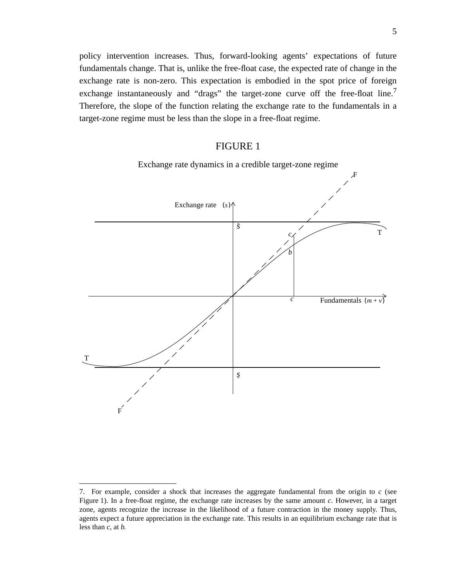policy intervention increases. Thus, forward-looking agents' expectations of future fundamentals change. That is, unlike the free-float case, the expected rate of change in the exchange rate is non-zero. This expectation is embodied in the spot price of foreign exchange instantaneously and "drags" the target-zone curve off the free-float line.<sup>7</sup> Therefore, the slope of the function relating the exchange rate to the fundamentals in a target-zone regime must be less than the slope in a free-float regime.

## FIGURE 1



Exchange rate dynamics in a credible target-zone regime

<sup>7.</sup> For example, consider a shock that increases the aggregate fundamental from the origin to *c* (see Figure 1). In a free-float regime, the exchange rate increases by the same amount *c*. However, in a target zone, agents recognize the increase in the likelihood of a future contraction in the money supply. Thus, agents expect a future appreciation in the exchange rate. This results in an equilibrium exchange rate that is less than *c,* at *b.*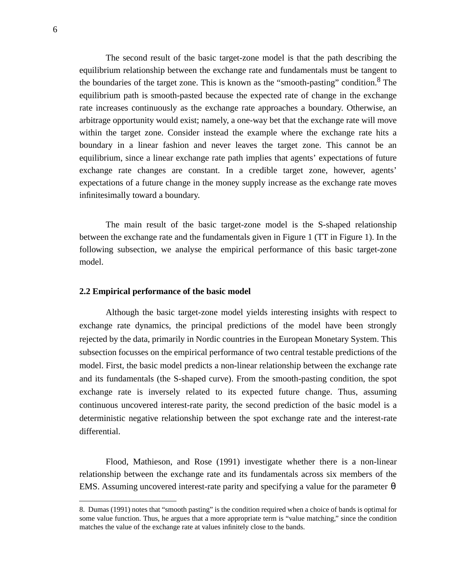The second result of the basic target-zone model is that the path describing the equilibrium relationship between the exchange rate and fundamentals must be tangent to the boundaries of the target zone. This is known as the "smooth-pasting" condition.<sup>8</sup> The equilibrium path is smooth-pasted because the expected rate of change in the exchange rate increases continuously as the exchange rate approaches a boundary. Otherwise, an arbitrage opportunity would exist; namely, a one-way bet that the exchange rate will move within the target zone. Consider instead the example where the exchange rate hits a boundary in a linear fashion and never leaves the target zone. This cannot be an equilibrium, since a linear exchange rate path implies that agents' expectations of future exchange rate changes are constant. In a credible target zone, however, agents' expectations of a future change in the money supply increase as the exchange rate moves infinitesimally toward a boundary.

The main result of the basic target-zone model is the S-shaped relationship between the exchange rate and the fundamentals given in Figure 1 (TT in Figure 1). In the following subsection, we analyse the empirical performance of this basic target-zone model.

#### **2.2 Empirical performance of the basic model**

Although the basic target-zone model yields interesting insights with respect to exchange rate dynamics, the principal predictions of the model have been strongly rejected by the data, primarily in Nordic countries in the European Monetary System. This subsection focusses on the empirical performance of two central testable predictions of the model. First, the basic model predicts a non-linear relationship between the exchange rate and its fundamentals (the S-shaped curve). From the smooth-pasting condition, the spot exchange rate is inversely related to its expected future change. Thus, assuming continuous uncovered interest-rate parity, the second prediction of the basic model is a deterministic negative relationship between the spot exchange rate and the interest-rate differential.

Flood, Mathieson, and Rose (1991) investigate whether there is a non-linear relationship between the exchange rate and its fundamentals across six members of the EMS. Assuming uncovered interest-rate parity and specifying a value for the parameter  $\theta$ 

<sup>8.</sup> Dumas (1991) notes that "smooth pasting" is the condition required when a choice of bands is optimal for some value function. Thus, he argues that a more appropriate term is "value matching," since the condition matches the value of the exchange rate at values infinitely close to the bands.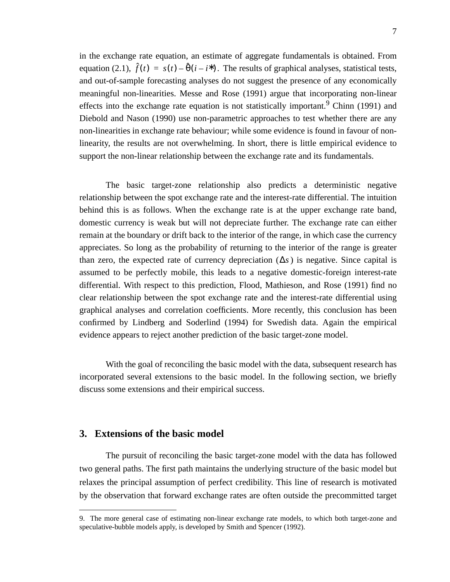in the exchange rate equation, an estimate of aggregate fundamentals is obtained. From equation (2.1),  $\hat{f}(t) = s(t) - \hat{\theta}(i - i^*)$ . The results of graphical analyses, statistical tests, and out-of-sample forecasting analyses do not suggest the presence of any economically meaningful non-linearities. Messe and Rose (1991) argue that incorporating non-linear effects into the exchange rate equation is not statistically important. <sup>9</sup> Chinn (1991) and Diebold and Nason (1990) use non-parametric approaches to test whether there are any non-linearities in exchange rate behaviour; while some evidence is found in favour of nonlinearity, the results are not overwhelming. In short, there is little empirical evidence to support the non-linear relationship between the exchange rate and its fundamentals.

The basic target-zone relationship also predicts a deterministic negative relationship between the spot exchange rate and the interest-rate differential. The intuition behind this is as follows. When the exchange rate is at the upper exchange rate band, domestic currency is weak but will not depreciate further. The exchange rate can either remain at the boundary or drift back to the interior of the range, in which case the currency appreciates. So long as the probability of returning to the interior of the range is greater than zero, the expected rate of currency depreciation  $(\Delta s)$  is negative. Since capital is assumed to be perfectly mobile, this leads to a negative domestic-foreign interest-rate differential. With respect to this prediction, Flood, Mathieson, and Rose (1991) find no clear relationship between the spot exchange rate and the interest-rate differential using graphical analyses and correlation coefficients. More recently, this conclusion has been confirmed by Lindberg and Soderlind (1994) for Swedish data. Again the empirical evidence appears to reject another prediction of the basic target-zone model.

With the goal of reconciling the basic model with the data, subsequent research has incorporated several extensions to the basic model. In the following section, we briefly discuss some extensions and their empirical success.

### **3. Extensions of the basic model**

The pursuit of reconciling the basic target-zone model with the data has followed two general paths. The first path maintains the underlying structure of the basic model but relaxes the principal assumption of perfect credibility. This line of research is motivated by the observation that forward exchange rates are often outside the precommitted target

<sup>9.</sup> The more general case of estimating non-linear exchange rate models, to which both target-zone and speculative-bubble models apply, is developed by Smith and Spencer (1992).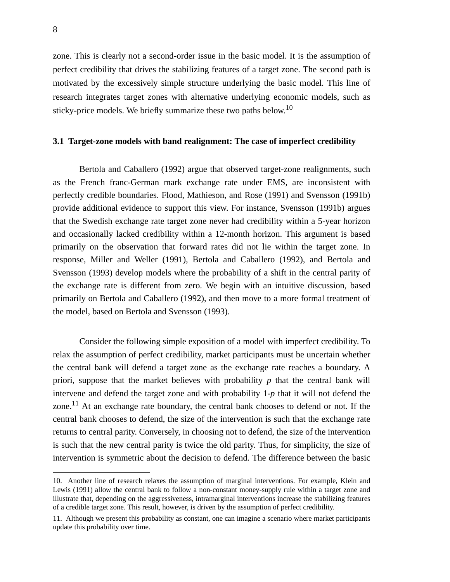zone. This is clearly not a second-order issue in the basic model. It is the assumption of perfect credibility that drives the stabilizing features of a target zone. The second path is motivated by the excessively simple structure underlying the basic model. This line of research integrates target zones with alternative underlying economic models, such as sticky-price models. We briefly summarize these two paths below.<sup>10</sup>

#### **3.1 Target-zone models with band realignment: The case of imperfect credibility**

Bertola and Caballero (1992) argue that observed target-zone realignments, such as the French franc-German mark exchange rate under EMS, are inconsistent with perfectly credible boundaries. Flood, Mathieson, and Rose (1991) and Svensson (1991b) provide additional evidence to support this view. For instance, Svensson (1991b) argues that the Swedish exchange rate target zone never had credibility within a 5-year horizon and occasionally lacked credibility within a 12-month horizon. This argument is based primarily on the observation that forward rates did not lie within the target zone. In response, Miller and Weller (1991), Bertola and Caballero (1992), and Bertola and Svensson (1993) develop models where the probability of a shift in the central parity of the exchange rate is different from zero. We begin with an intuitive discussion, based primarily on Bertola and Caballero (1992), and then move to a more formal treatment of the model, based on Bertola and Svensson (1993).

Consider the following simple exposition of a model with imperfect credibility. To relax the assumption of perfect credibility, market participants must be uncertain whether the central bank will defend a target zone as the exchange rate reaches a boundary. A priori, suppose that the market believes with probability *p* that the central bank will intervene and defend the target zone and with probability 1-*p* that it will not defend the zone.11 At an exchange rate boundary, the central bank chooses to defend or not. If the central bank chooses to defend, the size of the intervention is such that the exchange rate returns to central parity. Conversely, in choosing not to defend, the size of the intervention is such that the new central parity is twice the old parity. Thus, for simplicity, the size of intervention is symmetric about the decision to defend. The difference between the basic

<sup>10.</sup> Another line of research relaxes the assumption of marginal interventions. For example, Klein and Lewis (1991) allow the central bank to follow a non-constant money-supply rule within a target zone and illustrate that, depending on the aggressiveness, intramarginal interventions increase the stabilizing features of a credible target zone. This result, however, is driven by the assumption of perfect credibility.

<sup>11.</sup> Although we present this probability as constant, one can imagine a scenario where market participants update this probability over time.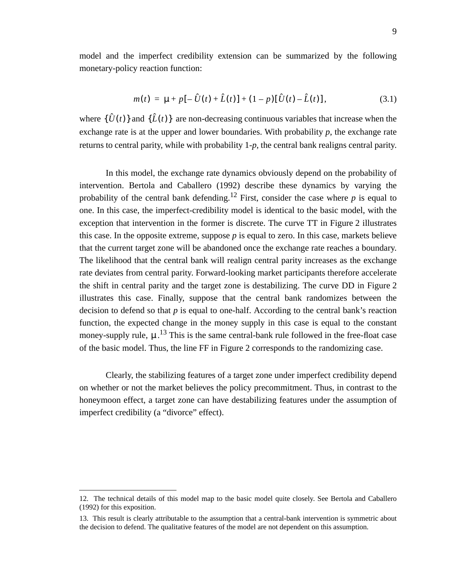model and the imperfect credibility extension can be summarized by the following monetary-policy reaction function:

$$
m(t) = \mu + p[-\hat{U}(t) + \hat{L}(t)] + (1 - p)[\hat{U}(t) - \hat{L}(t)],
$$
\n(3.1)

where  $\{\hat{U}(t)\}\$  and  $\{\hat{L}(t)\}\$  are non-decreasing continuous variables that increase when the exchange rate is at the upper and lower boundaries. With probability *p*, the exchange rate returns to central parity, while with probability 1-*p*, the central bank realigns central parity.

In this model, the exchange rate dynamics obviously depend on the probability of intervention. Bertola and Caballero (1992) describe these dynamics by varying the probability of the central bank defending.<sup>12</sup> First, consider the case where  $p$  is equal to one. In this case, the imperfect-credibility model is identical to the basic model, with the exception that intervention in the former is discrete. The curve TT in Figure 2 illustrates this case. In the opposite extreme, suppose  $p$  is equal to zero. In this case, markets believe that the current target zone will be abandoned once the exchange rate reaches a boundary. The likelihood that the central bank will realign central parity increases as the exchange rate deviates from central parity. Forward-looking market participants therefore accelerate the shift in central parity and the target zone is destabilizing. The curve DD in Figure 2 illustrates this case. Finally, suppose that the central bank randomizes between the decision to defend so that *p* is equal to one-half. According to the central bank's reaction function, the expected change in the money supply in this case is equal to the constant money-supply rule,  $\mu$ .<sup>13</sup> This is the same central-bank rule followed in the free-float case of the basic model. Thus, the line FF in Figure 2 corresponds to the randomizing case.

Clearly, the stabilizing features of a target zone under imperfect credibility depend on whether or not the market believes the policy precommitment. Thus, in contrast to the honeymoon effect, a target zone can have destabilizing features under the assumption of imperfect credibility (a "divorce" effect).

<sup>12.</sup> The technical details of this model map to the basic model quite closely. See Bertola and Caballero (1992) for this exposition.

<sup>13.</sup> This result is clearly attributable to the assumption that a central-bank intervention is symmetric about the decision to defend. The qualitative features of the model are not dependent on this assumption.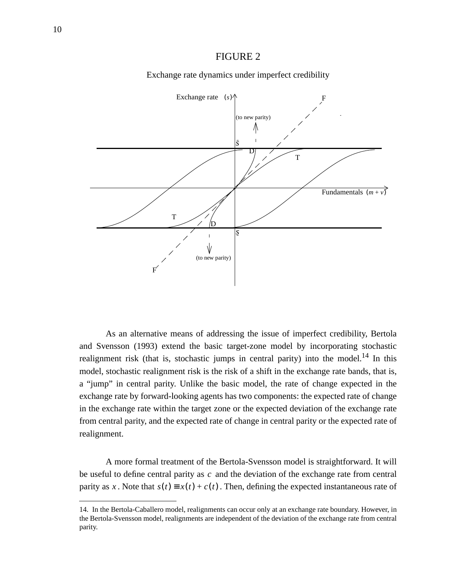#### FIGURE 2



Exchange rate dynamics under imperfect credibility

As an alternative means of addressing the issue of imperfect credibility, Bertola and Svensson (1993) extend the basic target-zone model by incorporating stochastic realignment risk (that is, stochastic jumps in central parity) into the model.<sup>14</sup> In this model, stochastic realignment risk is the risk of a shift in the exchange rate bands, that is, a "jump" in central parity. Unlike the basic model, the rate of change expected in the exchange rate by forward-looking agents has two components: the expected rate of change in the exchange rate within the target zone or the expected deviation of the exchange rate from central parity, and the expected rate of change in central parity or the expected rate of realignment.

A more formal treatment of the Bertola-Svensson model is straightforward. It will be useful to define central parity as  $c$  and the deviation of the exchange rate from central parity as x. Note that  $s(t) \equiv x(t) + c(t)$ . Then, defining the expected instantaneous rate of

<sup>14.</sup> In the Bertola-Caballero model, realignments can occur only at an exchange rate boundary. However, in the Bertola-Svensson model, realignments are independent of the deviation of the exchange rate from central parity.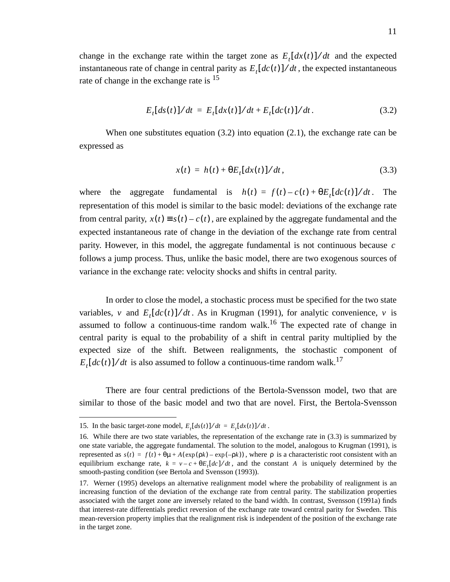change in the exchange rate within the target zone as  $E_t[dx(t)]/dt$  and the expected instantaneous rate of change in central parity as  $E_t[dc(t)]/dt$ , the expected instantaneous rate of change in the exchange rate is  $15$ 

$$
E_t[ds(t)]/dt = E_t[dx(t)]/dt + E_t[dc(t)]/dt.
$$
 (3.2)

When one substitutes equation (3.2) into equation (2.1), the exchange rate can be expressed as

$$
x(t) = h(t) + \theta E_t[dx(t)]/dt, \qquad (3.3)
$$

where the aggregate fundamental is  $h(t) = f(t) - c(t) + \theta E_t [dc(t)]/dt$ . The representation of this model is similar to the basic model: deviations of the exchange rate from central parity,  $x(t) \equiv s(t) - c(t)$ , are explained by the aggregate fundamental and the expected instantaneous rate of change in the deviation of the exchange rate from central parity. However, in this model, the aggregate fundamental is not continuous because *c* follows a jump process. Thus, unlike the basic model, there are two exogenous sources of variance in the exchange rate: velocity shocks and shifts in central parity.

In order to close the model, a stochastic process must be specified for the two state variables, v and  $E_t[dc(t)]/dt$ . As in Krugman (1991), for analytic convenience, v is assumed to follow a continuous-time random walk.<sup>16</sup> The expected rate of change in central parity is equal to the probability of a shift in central parity multiplied by the expected size of the shift. Between realignments, the stochastic component of  $E_t[dc(t)]/dt$  is also assumed to follow a continuous-time random walk.<sup>17</sup>

There are four central predictions of the Bertola-Svensson model, two that are similar to those of the basic model and two that are novel. First, the Bertola-Svensson

<sup>15.</sup> In the basic target-zone model,  $E_t[ds(t)]/dt = E_t[dx(t)]/dt$ .

<sup>16.</sup> While there are two state variables, the representation of the exchange rate in (3.3) is summarized by one state variable, the aggregate fundamental. The solution to the model, analogous to Krugman (1991), is *represented as*  $s(t) = f(t) + θμ + A(exp(ρk) – exp(−ρk))$ , where ρ is a characteristic root consistent with an equilibrium exchange rate,  $k = v - c + \theta E_t [dc]/dt$ , and the constant A is uniquely determined by the smooth-pasting condition (see Bertola and Svensson (1993)).

<sup>17.</sup> Werner (1995) develops an alternative realignment model where the probability of realignment is an increasing function of the deviation of the exchange rate from central parity. The stabilization properties associated with the target zone are inversely related to the band width. In contrast, Svensson (1991a) finds that interest-rate differentials predict reversion of the exchange rate toward central parity for Sweden. This mean-reversion property implies that the realignment risk is independent of the position of the exchange rate in the target zone.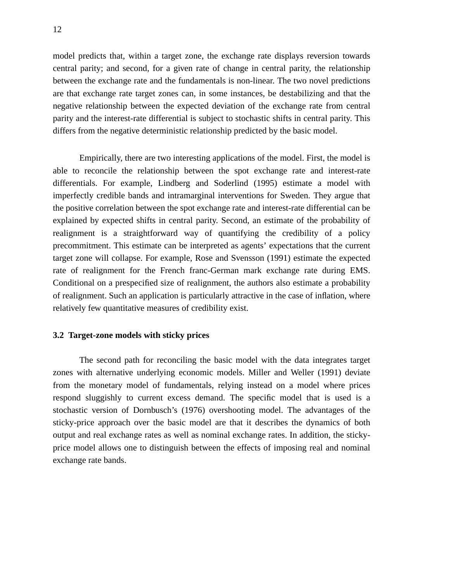model predicts that, within a target zone, the exchange rate displays reversion towards central parity; and second, for a given rate of change in central parity, the relationship between the exchange rate and the fundamentals is non-linear. The two novel predictions are that exchange rate target zones can, in some instances, be destabilizing and that the negative relationship between the expected deviation of the exchange rate from central parity and the interest-rate differential is subject to stochastic shifts in central parity. This differs from the negative deterministic relationship predicted by the basic model.

Empirically, there are two interesting applications of the model. First, the model is able to reconcile the relationship between the spot exchange rate and interest-rate differentials. For example, Lindberg and Soderlind (1995) estimate a model with imperfectly credible bands and intramarginal interventions for Sweden. They argue that the positive correlation between the spot exchange rate and interest-rate differential can be explained by expected shifts in central parity. Second, an estimate of the probability of realignment is a straightforward way of quantifying the credibility of a policy precommitment. This estimate can be interpreted as agents' expectations that the current target zone will collapse. For example, Rose and Svensson (1991) estimate the expected rate of realignment for the French franc-German mark exchange rate during EMS. Conditional on a prespecified size of realignment, the authors also estimate a probability of realignment. Such an application is particularly attractive in the case of inflation, where relatively few quantitative measures of credibility exist.

#### **3.2 Target-zone models with sticky prices**

The second path for reconciling the basic model with the data integrates target zones with alternative underlying economic models. Miller and Weller (1991) deviate from the monetary model of fundamentals, relying instead on a model where prices respond sluggishly to current excess demand. The specific model that is used is a stochastic version of Dornbusch's (1976) overshooting model. The advantages of the sticky-price approach over the basic model are that it describes the dynamics of both output and real exchange rates as well as nominal exchange rates. In addition, the stickyprice model allows one to distinguish between the effects of imposing real and nominal exchange rate bands.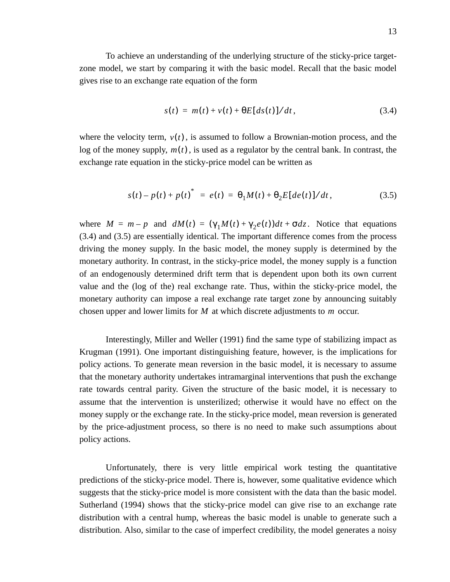To achieve an understanding of the underlying structure of the sticky-price targetzone model, we start by comparing it with the basic model. Recall that the basic model gives rise to an exchange rate equation of the form

$$
s(t) = m(t) + v(t) + \Theta E[d s(t)]/dt, \qquad (3.4)
$$

where the velocity term,  $v(t)$ , is assumed to follow a Brownian-motion process, and the log of the money supply,  $m(t)$ , is used as a regulator by the central bank. In contrast, the exchange rate equation in the sticky-price model can be written as

$$
s(t) - p(t) + p(t)^* = e(t) = \theta_1 M(t) + \theta_2 E[de(t)]/dt, \qquad (3.5)
$$

where  $M = m - p$  and  $dM(t) = (\gamma_1 M(t) + \gamma_2 e(t))dt + \sigma dz$ . Notice that equations (3.4) and (3.5) are essentially identical. The important difference comes from the process driving the money supply. In the basic model, the money supply is determined by the monetary authority. In contrast, in the sticky-price model, the money supply is a function of an endogenously determined drift term that is dependent upon both its own current value and the (log of the) real exchange rate. Thus, within the sticky-price model, the monetary authority can impose a real exchange rate target zone by announcing suitably chosen upper and lower limits for  $M$  at which discrete adjustments to  $m$  occur.

Interestingly, Miller and Weller (1991) find the same type of stabilizing impact as Krugman (1991). One important distinguishing feature, however, is the implications for policy actions. To generate mean reversion in the basic model, it is necessary to assume that the monetary authority undertakes intramarginal interventions that push the exchange rate towards central parity. Given the structure of the basic model, it is necessary to assume that the intervention is unsterilized; otherwise it would have no effect on the money supply or the exchange rate. In the sticky-price model, mean reversion is generated by the price-adjustment process, so there is no need to make such assumptions about policy actions.

Unfortunately, there is very little empirical work testing the quantitative predictions of the sticky-price model. There is, however, some qualitative evidence which suggests that the sticky-price model is more consistent with the data than the basic model. Sutherland (1994) shows that the sticky-price model can give rise to an exchange rate distribution with a central hump, whereas the basic model is unable to generate such a distribution. Also, similar to the case of imperfect credibility, the model generates a noisy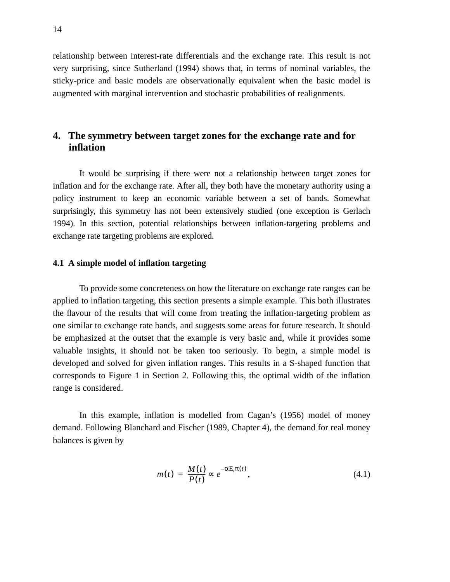relationship between interest-rate differentials and the exchange rate. This result is not very surprising, since Sutherland (1994) shows that, in terms of nominal variables, the sticky-price and basic models are observationally equivalent when the basic model is augmented with marginal intervention and stochastic probabilities of realignments.

## **4. The symmetry between target zones for the exchange rate and for inflation**

It would be surprising if there were not a relationship between target zones for inflation and for the exchange rate. After all, they both have the monetary authority using a policy instrument to keep an economic variable between a set of bands. Somewhat surprisingly, this symmetry has not been extensively studied (one exception is Gerlach 1994). In this section, potential relationships between inflation-targeting problems and exchange rate targeting problems are explored.

#### **4.1 A simple model of inflation targeting**

To provide some concreteness on how the literature on exchange rate ranges can be applied to inflation targeting, this section presents a simple example. This both illustrates the flavour of the results that will come from treating the inflation-targeting problem as one similar to exchange rate bands, and suggests some areas for future research. It should be emphasized at the outset that the example is very basic and, while it provides some valuable insights, it should not be taken too seriously. To begin, a simple model is developed and solved for given inflation ranges. This results in a S-shaped function that corresponds to Figure 1 in Section 2. Following this, the optimal width of the inflation range is considered.

In this example, inflation is modelled from Cagan's (1956) model of money demand. Following Blanchard and Fischer (1989, Chapter 4), the demand for real money balances is given by

$$
m(t) = \frac{M(t)}{P(t)} \propto e^{-\alpha E_t \pi(t)}, \qquad (4.1)
$$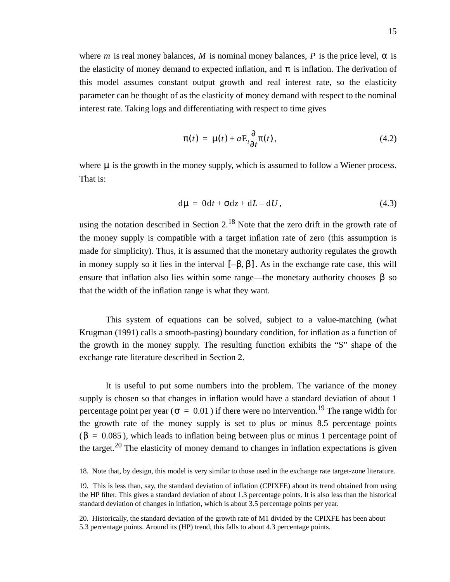where *m* is real money balances, *M* is nominal money balances, *P* is the price level,  $\alpha$  is the elasticity of money demand to expected inflation, and  $\pi$  is inflation. The derivation of this model assumes constant output growth and real interest rate, so the elasticity parameter can be thought of as the elasticity of money demand with respect to the nominal interest rate. Taking logs and differentiating with respect to time gives

$$
\pi(t) = \mu(t) + a \mathbf{E}_t \frac{\partial}{\partial t} \pi(t), \qquad (4.2)
$$

where  $\mu$  is the growth in the money supply, which is assumed to follow a Wiener process. That is:

$$
d\mu = 0dt + \sigma dz + dL - dU, \qquad (4.3)
$$

using the notation described in Section  $2<sup>18</sup>$  Note that the zero drift in the growth rate of the money supply is compatible with a target inflation rate of zero (this assumption is made for simplicity). Thus, it is assumed that the monetary authority regulates the growth in money supply so it lies in the interval  $[-\beta, \beta]$ . As in the exchange rate case, this will ensure that inflation also lies within some range—the monetary authority chooses  $\beta$  so that the width of the inflation range is what they want.

This system of equations can be solved, subject to a value-matching (what Krugman (1991) calls a smooth-pasting) boundary condition, for inflation as a function of the growth in the money supply. The resulting function exhibits the "S" shape of the exchange rate literature described in Section 2.

It is useful to put some numbers into the problem. The variance of the money supply is chosen so that changes in inflation would have a standard deviation of about 1 percentage point per year ( $\sigma = 0.01$ ) if there were no intervention.<sup>19</sup> The range width for the growth rate of the money supply is set to plus or minus 8.5 percentage points  $(β = 0.085)$ , which leads to inflation being between plus or minus 1 percentage point of the target.<sup>20</sup> The elasticity of money demand to changes in inflation expectations is given

<sup>18.</sup> Note that, by design, this model is very similar to those used in the exchange rate target-zone literature.

<sup>19.</sup> This is less than, say, the standard deviation of inflation (CPIXFE) about its trend obtained from using the HP filter. This gives a standard deviation of about 1.3 percentage points. It is also less than the historical standard deviation of changes in inflation, which is about 3.5 percentage points per year.

<sup>20.</sup> Historically, the standard deviation of the growth rate of M1 divided by the CPIXFE has been about 5.3 percentage points. Around its (HP) trend, this falls to about 4.3 percentage points.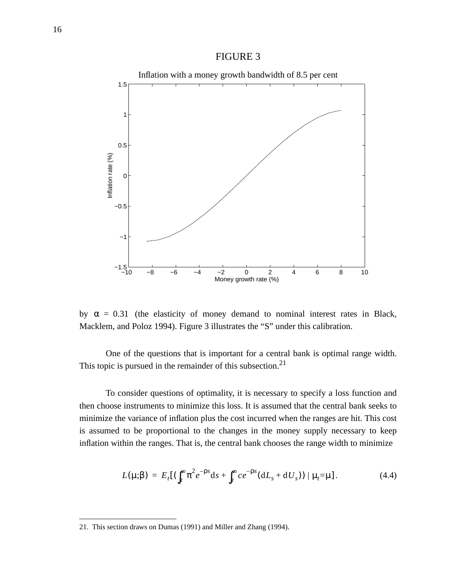#### FIGURE 3



by  $\alpha = 0.31$  (the elasticity of money demand to nominal interest rates in Black, Macklem, and Poloz 1994). Figure 3 illustrates the "S" under this calibration.

One of the questions that is important for a central bank is optimal range width. This topic is pursued in the remainder of this subsection.<sup>21</sup>

To consider questions of optimality, it is necessary to specify a loss function and then choose instruments to minimize this loss. It is assumed that the central bank seeks to minimize the variance of inflation plus the cost incurred when the ranges are hit. This cost is assumed to be proportional to the changes in the money supply necessary to keep inflation within the ranges. That is, the central bank chooses the range width to minimize

$$
L(\mu;\beta) = E_t[(\int_t^{\infty} \pi^2 e^{-\rho s} ds + \int_t^{\infty} c e^{-\rho s} (dL_s + dU_s)) | \mu_t = \mu]. \tag{4.4}
$$

<sup>21.</sup> This section draws on Dumas (1991) and Miller and Zhang (1994).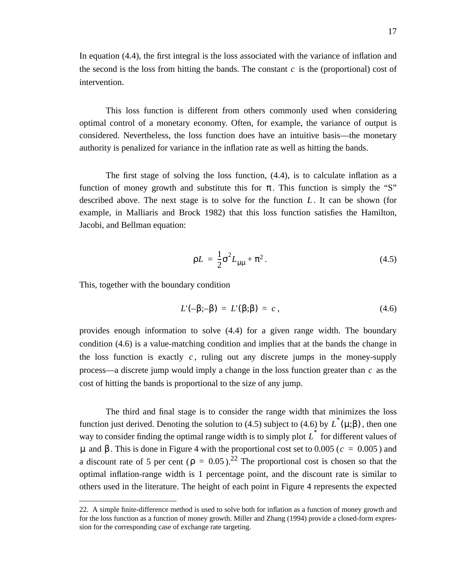In equation (4.4), the first integral is the loss associated with the variance of inflation and the second is the loss from hitting the bands. The constant  $c$  is the (proportional) cost of intervention.

This loss function is different from others commonly used when considering optimal control of a monetary economy. Often, for example, the variance of output is considered. Nevertheless, the loss function does have an intuitive basis—the monetary authority is penalized for variance in the inflation rate as well as hitting the bands.

The first stage of solving the loss function, (4.4), is to calculate inflation as a function of money growth and substitute this for  $\pi$ . This function is simply the "S" described above. The next stage is to solve for the function L. It can be shown (for example, in Malliaris and Brock 1982) that this loss function satisfies the Hamilton, Jacobi, and Bellman equation:

$$
\rho L = \frac{1}{2}\sigma^2 L_{\mu\mu} + \pi^2.
$$
 (4.5)

This, together with the boundary condition

$$
L'(-\beta;-\beta) = L'(\beta;\beta) = c \,, \tag{4.6}
$$

provides enough information to solve (4.4) for a given range width. The boundary condition (4.6) is a value-matching condition and implies that at the bands the change in the loss function is exactly  $c$ , ruling out any discrete jumps in the money-supply process—a discrete jump would imply a change in the loss function greater than  $c$  as the cost of hitting the bands is proportional to the size of any jump.

The third and final stage is to consider the range width that minimizes the loss function just derived. Denoting the solution to (4.5) subject to (4.6) by  $\overline{L}^*(\mu;\beta)$ , then one way to consider finding the optimal range width is to simply plot  $L^*$  for different values of  $\mu$  and β. This is done in Figure 4 with the proportional cost set to 0.005 ( $c = 0.005$ ) and a discount rate of 5 per cent ( $\rho = 0.05$ ).<sup>22</sup> The proportional cost is chosen so that the optimal inflation-range width is 1 percentage point, and the discount rate is similar to others used in the literature. The height of each point in Figure 4 represents the expected

<sup>22.</sup> A simple finite-difference method is used to solve both for inflation as a function of money growth and for the loss function as a function of money growth. Miller and Zhang (1994) provide a closed-form expression for the corresponding case of exchange rate targeting.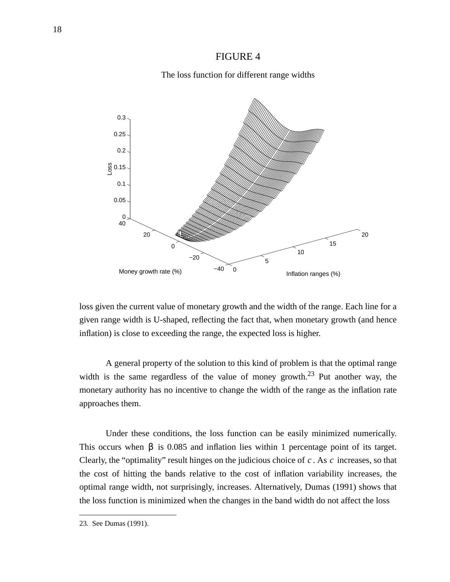#### FIGURE 4

#### The loss function for different range widths



loss given the current value of monetary growth and the width of the range. Each line for a given range width is U-shaped, reflecting the fact that, when monetary growth (and hence inflation) is close to exceeding the range, the expected loss is higher.

A general property of the solution to this kind of problem is that the optimal range width is the same regardless of the value of money growth.<sup>23</sup> Put another way, the monetary authority has no incentive to change the width of the range as the inflation rate approaches them.

Under these conditions, the loss function can be easily minimized numerically. This occurs when  $\beta$  is 0.085 and inflation lies within 1 percentage point of its target. Clearly, the "optimality" result hinges on the judicious choice of  $c$ . As  $c$  increases, so that the cost of hitting the bands relative to the cost of inflation variability increases, the optimal range width, not surprisingly, increases. Alternatively, Dumas (1991) shows that the loss function is minimized when the changes in the band width do not affect the loss

<sup>23.</sup> See Dumas (1991).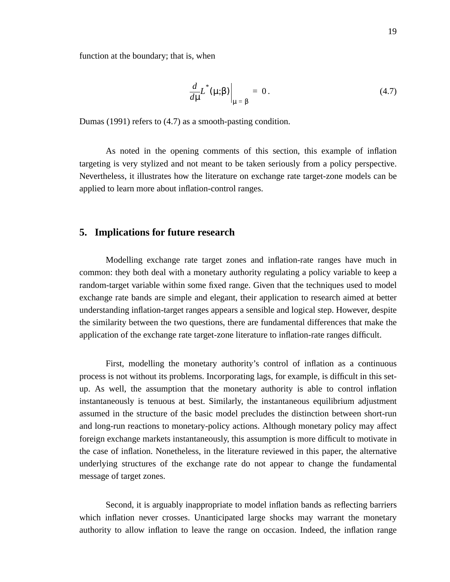function at the boundary; that is, when

$$
\left. \frac{d}{d\mu} L^*(\mu;\beta) \right|_{\mu = \beta} = 0. \tag{4.7}
$$

Dumas (1991) refers to (4.7) as a smooth-pasting condition.

As noted in the opening comments of this section, this example of inflation targeting is very stylized and not meant to be taken seriously from a policy perspective. Nevertheless, it illustrates how the literature on exchange rate target-zone models can be applied to learn more about inflation-control ranges.

#### **5. Implications for future research**

Modelling exchange rate target zones and inflation-rate ranges have much in common: they both deal with a monetary authority regulating a policy variable to keep a random-target variable within some fixed range. Given that the techniques used to model exchange rate bands are simple and elegant, their application to research aimed at better understanding inflation-target ranges appears a sensible and logical step. However, despite the similarity between the two questions, there are fundamental differences that make the application of the exchange rate target-zone literature to inflation-rate ranges difficult.

First, modelling the monetary authority's control of inflation as a continuous process is not without its problems. Incorporating lags, for example, is difficult in this setup. As well, the assumption that the monetary authority is able to control inflation instantaneously is tenuous at best. Similarly, the instantaneous equilibrium adjustment assumed in the structure of the basic model precludes the distinction between short-run and long-run reactions to monetary-policy actions. Although monetary policy may affect foreign exchange markets instantaneously, this assumption is more difficult to motivate in the case of inflation. Nonetheless, in the literature reviewed in this paper, the alternative underlying structures of the exchange rate do not appear to change the fundamental message of target zones.

Second, it is arguably inappropriate to model inflation bands as reflecting barriers which inflation never crosses. Unanticipated large shocks may warrant the monetary authority to allow inflation to leave the range on occasion. Indeed, the inflation range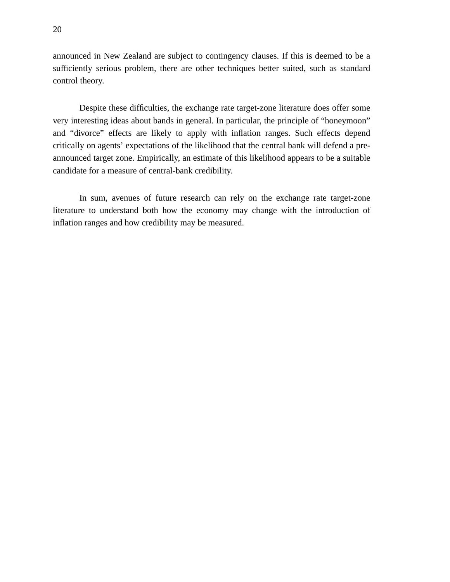announced in New Zealand are subject to contingency clauses. If this is deemed to be a sufficiently serious problem, there are other techniques better suited, such as standard control theory.

Despite these difficulties, the exchange rate target-zone literature does offer some very interesting ideas about bands in general. In particular, the principle of "honeymoon" and "divorce" effects are likely to apply with inflation ranges. Such effects depend critically on agents' expectations of the likelihood that the central bank will defend a preannounced target zone. Empirically, an estimate of this likelihood appears to be a suitable candidate for a measure of central-bank credibility.

In sum, avenues of future research can rely on the exchange rate target-zone literature to understand both how the economy may change with the introduction of inflation ranges and how credibility may be measured.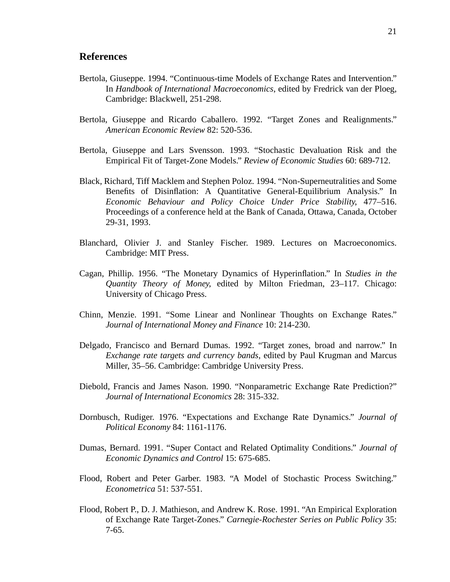#### **References**

- Bertola, Giuseppe. 1994. "Continuous-time Models of Exchange Rates and Intervention." In *Handbook of International Macroeconomics*, edited by Fredrick van der Ploeg, Cambridge: Blackwell, 251-298.
- Bertola, Giuseppe and Ricardo Caballero. 1992. "Target Zones and Realignments." *American Economic Review* 82: 520-536.
- Bertola, Giuseppe and Lars Svensson. 1993. "Stochastic Devaluation Risk and the Empirical Fit of Target-Zone Models." *Review of Economic Studies* 60: 689-712.
- Black, Richard, Tiff Macklem and Stephen Poloz. 1994. "Non-Superneutralities and Some Benefits of Disinflation: A Quantitative General-Equilibrium Analysis." In *Economic Behaviour and Policy Choice Under Price Stability*, 477–516. Proceedings of a conference held at the Bank of Canada, Ottawa, Canada, October 29-31, 1993.
- Blanchard, Olivier J. and Stanley Fischer. 1989. Lectures on Macroeconomics. Cambridge: MIT Press.
- Cagan, Phillip. 1956. "The Monetary Dynamics of Hyperinflation." In *Studies in the Quantity Theory of Money*, edited by Milton Friedman, 23–117. Chicago: University of Chicago Press.
- Chinn, Menzie. 1991. "Some Linear and Nonlinear Thoughts on Exchange Rates." *Journal of International Money and Finance* 10: 214-230.
- Delgado, Francisco and Bernard Dumas. 1992. "Target zones, broad and narrow." In *Exchange rate targets and currency bands*, edited by Paul Krugman and Marcus Miller, 35–56. Cambridge: Cambridge University Press.
- Diebold, Francis and James Nason. 1990. "Nonparametric Exchange Rate Prediction?" *Journal of International Economics* 28: 315-332.
- Dornbusch, Rudiger. 1976. "Expectations and Exchange Rate Dynamics." *Journal of Political Economy* 84: 1161-1176.
- Dumas, Bernard. 1991. "Super Contact and Related Optimality Conditions." *Journal of Economic Dynamics and Control* 15: 675-685.
- Flood, Robert and Peter Garber. 1983. "A Model of Stochastic Process Switching." *Econometrica* 51: 537-551.
- Flood, Robert P., D. J. Mathieson, and Andrew K. Rose. 1991. "An Empirical Exploration of Exchange Rate Target-Zones." *Carnegie-Rochester Series on Public Policy* 35: 7-65.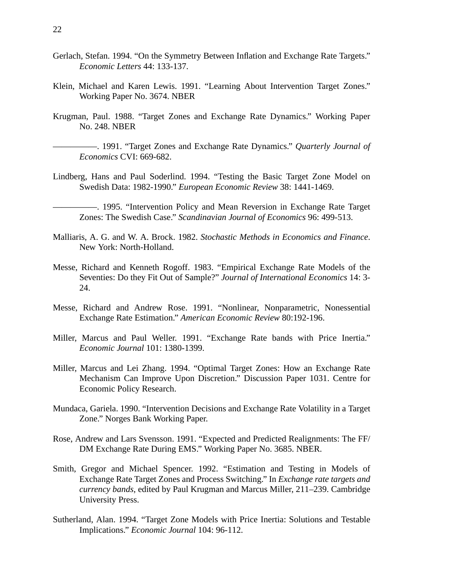- Gerlach, Stefan. 1994. "On the Symmetry Between Inflation and Exchange Rate Targets." *Economic Letters* 44: 133-137.
- Klein, Michael and Karen Lewis. 1991. "Learning About Intervention Target Zones." Working Paper No. 3674. NBER
- Krugman, Paul. 1988. "Target Zones and Exchange Rate Dynamics." Working Paper No. 248. NBER

- Lindberg, Hans and Paul Soderlind. 1994. "Testing the Basic Target Zone Model on Swedish Data: 1982-1990." *European Economic Review* 38: 1441-1469.
	- —————. 1995. "Intervention Policy and Mean Reversion in Exchange Rate Target Zones: The Swedish Case." *Scandinavian Journal of Economics* 96: 499-513.
- Malliaris, A. G. and W. A. Brock. 1982. *Stochastic Methods in Economics and Finance*. New York: North-Holland.
- Messe, Richard and Kenneth Rogoff. 1983. "Empirical Exchange Rate Models of the Seventies: Do they Fit Out of Sample?" *Journal of International Economics* 14: 3- 24.
- Messe, Richard and Andrew Rose. 1991. "Nonlinear, Nonparametric, Nonessential Exchange Rate Estimation." *American Economic Review* 80:192-196.
- Miller, Marcus and Paul Weller. 1991. "Exchange Rate bands with Price Inertia." *Economic Journal* 101: 1380-1399.
- Miller, Marcus and Lei Zhang. 1994. "Optimal Target Zones: How an Exchange Rate Mechanism Can Improve Upon Discretion." Discussion Paper 1031. Centre for Economic Policy Research.
- Mundaca, Gariela. 1990. "Intervention Decisions and Exchange Rate Volatility in a Target Zone." Norges Bank Working Paper.
- Rose, Andrew and Lars Svensson. 1991. "Expected and Predicted Realignments: The FF/ DM Exchange Rate During EMS." Working Paper No. 3685. NBER.
- Smith, Gregor and Michael Spencer. 1992. "Estimation and Testing in Models of Exchange Rate Target Zones and Process Switching." In *Exchange rate targets and currency bands*, edited by Paul Krugman and Marcus Miller, 211–239. Cambridge University Press.
- Sutherland, Alan. 1994. "Target Zone Models with Price Inertia: Solutions and Testable Implications." *Economic Journal* 104: 96-112.

<sup>—————. 1991. &</sup>quot;Target Zones and Exchange Rate Dynamics." *Quarterly Journal of Economics* CVI: 669-682.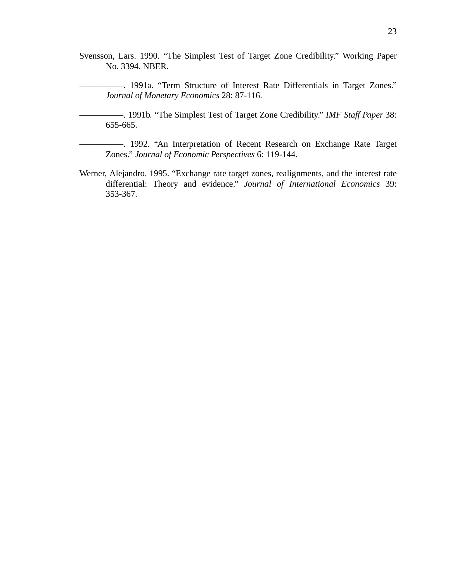Svensson, Lars. 1990. "The Simplest Test of Target Zone Credibility." Working Paper No. 3394. NBER.

—————. 1991a. "Term Structure of Interest Rate Differentials in Target Zones." *Journal of Monetary Economics* 28: 87-116.

—————. 1991b. "The Simplest Test of Target Zone Credibility." *IMF Staff Paper* 38: 655-665.

—————. 1992. "An Interpretation of Recent Research on Exchange Rate Target Zones." *Journal of Economic Perspectives* 6: 119-144.

Werner, Alejandro. 1995. "Exchange rate target zones, realignments, and the interest rate differential: Theory and evidence." *Journal of International Economics* 39: 353-367.